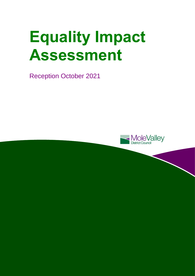# **Equality Impact Assessment**

Reception October 2021

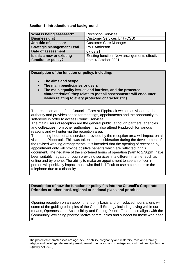### **Section 1: Introduction and background**

| What is being assessed?          | <b>Reception Services</b>                     |
|----------------------------------|-----------------------------------------------|
| <b>Business unit</b>             | <b>Customer Services Unit (CSU)</b>           |
| Job title of assessor            | <b>Customer Care Manager</b>                  |
| <b>Strategic Management Lead</b> | Paul Anderson                                 |
| Date of assessment               | 07.09.21                                      |
| Is this a new or existing        | Existing function. New arrangements effective |
| function or policy?              | from 4 October 2021                           |

**Description of the function or policy, including:**

**The aims and scope**

l

- **The main beneficiaries or users**
- **The main equality issues and barriers, and the protected characteristics**<sup>1</sup> **they relate to (not all assessments will encounter issues relating to every protected characteristic)**

The reception area of the Council offices at Pippbrook welcomes visitors to the authority and provides space for meetings, appointments and the opportunity to self-serve in order to access Council services.

The main users of reception are the general public, although partners, agencies and colleagues from other authorities may also attend Pippbrook for various reasons and will enter via the reception area.

The opening hours of and services provided by the reception area will impact on all visitors to Pippbrook. This was taken into consideration during the development of the revised working arrangements. It is intended that the opening of reception by appointment only will provide positive benefits which are reflected in this document. The negative of the shortened hours of operation (9am to 2.30pm) have been suitably negated through providing services in a different manner such as online and by phone. The ability to make an appointment to see an officer in person will positively impact those who find it difficult to use a computer or the telephone due to a disability.

### **Description of how the function or policy fits into the Council's Corporate Priorities or other local, regional or national plans and priorities**

Opening reception on an appointment only basis and on reduced hours aligns with some of the guiding principles of the Council Strategy including Living within our means, Openness and Accessibility and Putting People First. It also aligns with the Community Wellbeing priority: 'Active communities and support for those who need it'.

The protected characteristics are age, sex, disability, pregnancy and maternity, race and ethnicity, religion and belief, gender reassignment, sexual orientation, and marriage and civil partnership (Source: Equality Act 2010)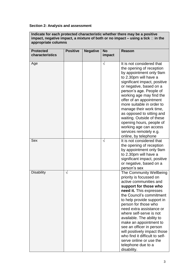# **Section 2: Analysis and assessment**

**Indicate for each protected characteristic whether there may be a positive impact, negative impact, a mixture of both or no impact – using a tick**  $\Box$  in the **appropriate columns** 

| <b>Protected</b>  | <b>Positive</b> | <b>Negative</b> | <b>No</b>  | <b>Reason</b>                                                                                                                                                                                                                                                                                                                                                                                                                                                                                  |
|-------------------|-----------------|-----------------|------------|------------------------------------------------------------------------------------------------------------------------------------------------------------------------------------------------------------------------------------------------------------------------------------------------------------------------------------------------------------------------------------------------------------------------------------------------------------------------------------------------|
| characteristics   |                 |                 | impact     |                                                                                                                                                                                                                                                                                                                                                                                                                                                                                                |
| Age               |                 |                 | $\sqrt{}$  | It is not considered that<br>the opening of reception<br>by appointment only 9am<br>to 2.30pm will have a<br>significant impact, positive<br>or negative, based on a<br>person's age. People of<br>working age may find the<br>offer of an appointment<br>more suitable in order to<br>manage their work time,<br>as opposed to sitting and<br>waiting. Outside of these<br>opening hours, people of<br>working age can access<br>services remotely e.g.<br>online, by telephone               |
| Sex               |                 |                 | $\sqrt{ }$ | It is not considered that<br>the opening of reception<br>by appointment only 9am<br>to 2.30pm will have a<br>significant impact, positive<br>or negative, based on a<br>person's sex                                                                                                                                                                                                                                                                                                           |
| <b>Disability</b> | $\sqrt{}$       |                 |            | The Community Wellbeing<br>priority is focussed on<br>active communities and<br>support for those who<br>need it. This expresses<br>the Council's commitment<br>to help provide support in<br>person for those who<br>need extra assistance or<br>where self-serve is not<br>available. The ability to<br>make an appointment to<br>see an officer in person<br>will positively impact those<br>who find it difficult to self-<br>serve online or use the<br>telephone due to a<br>disability. |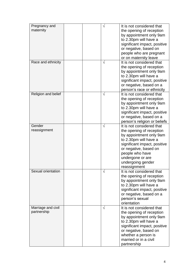| Pregnancy and<br>maternity        |  |            | It is not considered that<br>the opening of reception<br>by appointment only 9am<br>to 2.30pm will have a<br>significant impact, positive<br>or negative, based on<br>people who are pregnant<br>or on maternity leave                         |
|-----------------------------------|--|------------|------------------------------------------------------------------------------------------------------------------------------------------------------------------------------------------------------------------------------------------------|
| Race and ethnicity                |  | $\sqrt{ }$ | It is not considered that<br>the opening of reception<br>by appointment only 9am<br>to 2.30pm will have a<br>significant impact, positive<br>or negative, based on a<br>person's race or ethnicity                                             |
| Religion and belief               |  | $\sqrt{}$  | It is not considered that<br>the opening of reception<br>by appointment only 9am<br>to 2.30pm will have a<br>significant impact, positive<br>or negative, based on a<br>person's religion or beliefs                                           |
| Gender<br>reassignment            |  | $\sqrt{}$  | It is not considered that<br>the opening of reception<br>by appointment only 9am<br>to 2.30pm will have a<br>significant impact, positive<br>or negative, based on<br>people who have<br>undergone or are<br>undergoing gender<br>reassignment |
| Sexual orientation                |  | V          | It is not considered that<br>the opening of reception<br>by appointment only 9am<br>to 2.30pm will have a<br>significant impact, positive<br>or negative, based on a<br>person's sexual<br>orientation                                         |
| Marriage and civil<br>partnership |  | $\sqrt{}$  | It is not considered that<br>the opening of reception<br>by appointment only 9am<br>to 2.30pm will have a<br>significant impact, positive<br>or negative, based on<br>whether a person is<br>married or in a civil<br>partnership              |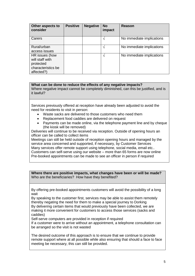| Other aspects to<br>consider                                                       | <b>Positive</b> | <b>Negative</b> | <b>No</b><br>impact | Reason                    |
|------------------------------------------------------------------------------------|-----------------|-----------------|---------------------|---------------------------|
| Carers                                                                             |                 |                 |                     | No immediate implications |
| Rural/urban<br>access issues                                                       |                 |                 | 1                   | No immediate implications |
| HR issues (how<br>will staff with<br>protected<br>characteristics be<br>affected?) |                 |                 | ٦                   | No immediate implications |

## **What can be done to reduce the effects of any negative impacts?**

Where negative impact cannot be completely diminished, can this be justified, and is it lawful?

Services previously offered at reception have already been adjusted to avoid the need for residents to visit in person:

- Waste sacks are delivered to those customers who need them
- Replacement food caddies are delivered on request
- Payments can be made online, via the telephone payment line and by cheque (the kiosk will be removed)

Deliveries will continue to be received via reception. Outside of opening hours an officer can be called to collect items

Meetings can still be held outside of reception opening hours and managed by the service area concerned and supported, if necessary, by Customer Services Many services offer remote support using telephone, social media, email etc.. Customers can self-serve using our website – more than 65 forms are now online Pre-booked appointments can be made to see an officer in person if required

**Where there are positive impacts, what changes have been or will be made?**  Who are the beneficiaries? How have they benefited?

By offering pre-booked appointments customers will avoid the possibility of a long wait

By speaking to the customer first, services may be able to assist them remotely thereby negating the need for them to make a special journey to Dorking By delivering certain items that would previously have been collected, we are making it more convenient for customers to access those services (sacks and caddies)

Self-serve computers are provided in reception if required

If a customer were to arrive without an appointment, a telephone consultation can be arranged so the visit is not wasted

The desired outcome of this approach is to ensure that we continue to provide remote support where at all possible while also ensuring that should a face to face meeting be necessary, this can still be provided.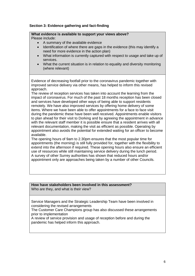## **Section 3: Evidence gathering and fact-finding**

## **What evidence is available to support your views above?**

Please include:

- A summary of the available evidence
- Identification of where there are gaps in the evidence (this may identify a need for more evidence in the action plan)
- What information is currently captured with respect to usage and take up of services.
- What the current situation is in relation to equality and diversity monitoring (where relevant)

Evidence of decreasing footfall prior to the coronavirus pandemic together with improved service delivery via other means, has helped to inform this revised approach.

The review of reception services has taken into account the learning from the impact of coronavirus. For much of the past 18 months reception has been closed and services have developed other ways of being able to support residents remotely. We have also improved services by offering home delivery of some items. Where we have been able to offer appointments for a face to face visit during the pandemic these have been well received. Appointments enable visitors to plan ahead for their visit to Dorking and by agreeing the appointment in advance with the relevant staff member it is possible ensure that a resident arrives with all relevant documentation, making the visit as efficient as possible. Operating by appointment also avoids the potential for extended waiting for an officer to become available.

The opening hours of 9am to 2.30pm ensures that the most popular time for appointments (the morning) is still fully provided for, together with the flexibility to extend into the afternoon if required. These opening hours also ensure an efficient use of resources while still maintaining service delivery during the lunch period. A survey of other Surrey authorities has shown that reduced hours and/or appointment only are approaches being taken by a number of other Councils.

#### **How have stakeholders been involved in this assessment?**  Who are they, and what is their view?

Service Managers and the Strategic Leadership Team have been involved in considering the revised arrangements

The Customer Care Champions group has also discussed these arrangements prior to implementation

A review of service provision and usage of reception before and during the pandemic has helped inform this approach.